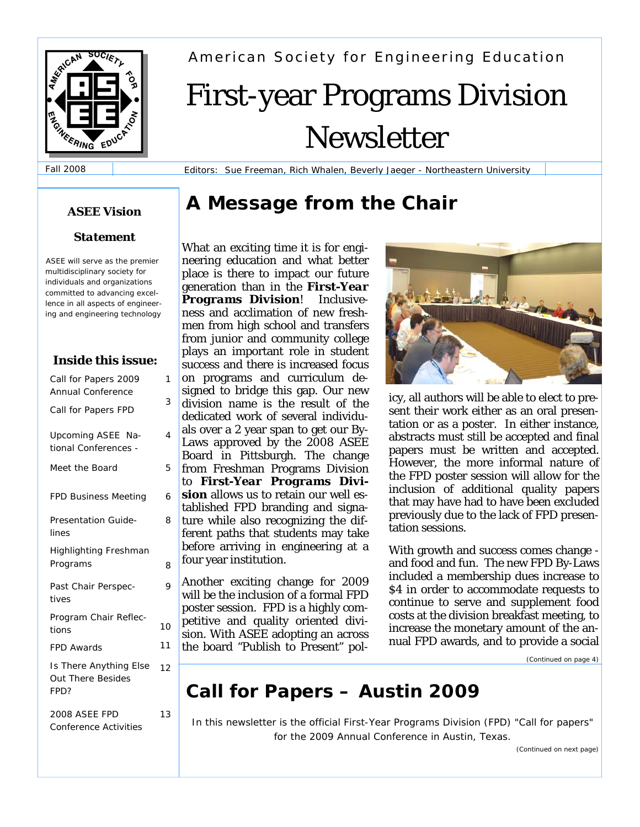

American Society for Engineering Education

# First-year Programs Division Newsletter

Fall 2008

Editors: Sue Freeman, Rich Whalen, Beverly Jaeger - Northeastern University

#### *Statement*

*"ASEE will serve as the premier multidisciplinary society for individuals and organizations committed to advancing excellence in all aspects of engineering and engineering technology* 

### **Inside this issue:**

| Call for Papers 2009             | 1  |
|----------------------------------|----|
| Annual Conference                | 3  |
| Call for Papers FPD              |    |
| Upcoming ASEE Na-                | 4  |
| tional Conferences               |    |
| Meet the Board                   | 5  |
| <b>FPD Business Meeting</b>      | 6  |
| <b>Presentation Guide-</b>       | 8  |
| lines                            |    |
| <b>Highlighting Freshman</b>     |    |
| Programs                         | 8  |
| Past Chair Perspec-              | 9  |
| tives                            |    |
| Program Chair Reflec-            |    |
| tions                            | 10 |
| <b>FPD Awards</b>                | 11 |
| Is There Anything Else           | 12 |
| <b>Out There Besides</b><br>FPD? |    |
|                                  |    |
| <b>2008 ASEE FPD</b>             | 13 |
| <b>Conference Activities</b>     |    |

## **A Message from the Chair** *ASEE Vision*

What an exciting time it is for engineering education and what better place is there to impact our future generation than in the *First-Year Programs Division*! Inclusiveness and acclimation of new freshmen from high school and transfers from junior and community college plays an important role in student success and there is increased focus on programs and curriculum designed to bridge this gap. Our new division name is the result of the dedicated work of several individuals over a 2 year span to get our By-Laws approved by the 2008 ASEE Board in Pittsburgh. The change from Freshman Programs Division to *First-Year Programs Division* allows us to retain our well established FPD branding and signature while also recognizing the different paths that students may take before arriving in engineering at a

Another exciting change for 2009 will be the inclusion of a formal FPD poster session. FPD is a highly competitive and quality oriented division. With ASEE adopting an across the board "Publish to Present" pol-

four year institution.



icy, all authors will be able to elect to present their work either as an oral presentation or as a poster. In either instance, abstracts must still be accepted and final papers must be written and accepted. However, the more informal nature of the FPD poster session will allow for the inclusion of additional quality papers that may have had to have been excluded previously due to the lack of FPD presentation sessions.

With growth and success comes change and food and fun. The new FPD By-Laws included a membership dues increase to \$4 in order to accommodate requests to continue to serve and supplement food costs at the division breakfast meeting, to increase the monetary amount of the annual FPD awards, and to provide a social

*(Continued on page 4)* 

## **Call for Papers – Austin 2009**

In this newsletter is the official First-Year Programs Division (FPD) "Call for papers" for the 2009 Annual Conference in Austin, Texas.

*(Continued on next page)*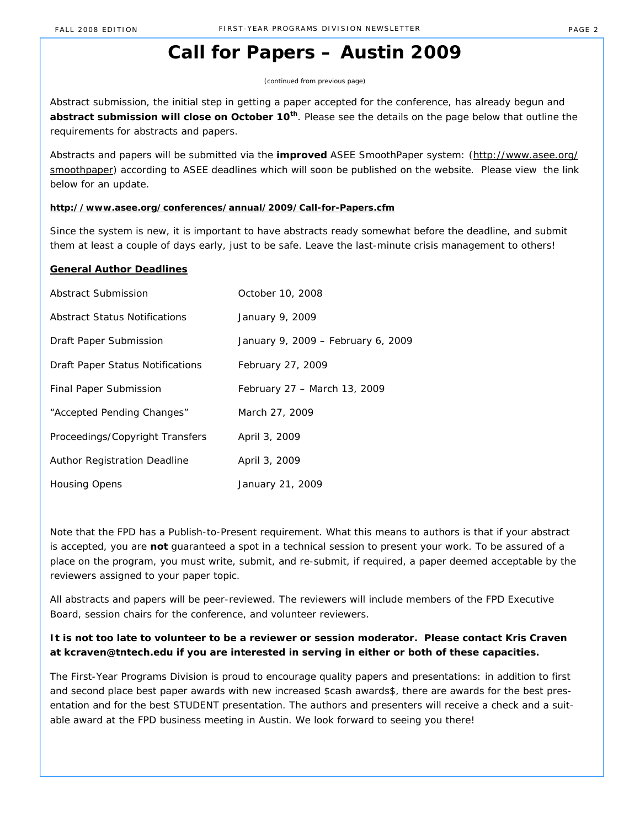### **Call for Papers – Austin 2009**

*(continued from previous page)*

Abstract submission, the initial step in getting a paper accepted for the conference, has already begun and **abstract submission will close on October 10th**. Please see the details on the page below that outline the requirements for abstracts and papers.

Abstracts and papers will be submitted via the *improved* ASEE SmoothPaper system: (http://www.asee.org/ smoothpaper) according to ASEE deadlines which will soon be published on the website. Please view the link below for an update.

#### **http://www.asee.org/conferences/annual/2009/Call-for-Papers.cfm**

Since the system is new, it is important to have abstracts ready somewhat before the deadline, and submit them at least a couple of days early, just to be safe. Leave the last-minute crisis management to others!

#### **General Author Deadlines**

| Abstract Submission              | October 10, 2008                   |
|----------------------------------|------------------------------------|
| Abstract Status Notifications    | January 9, 2009                    |
| Draft Paper Submission           | January 9, 2009 - February 6, 2009 |
| Draft Paper Status Notifications | February 27, 2009                  |
| Final Paper Submission           | February 27 - March 13, 2009       |
| "Accepted Pending Changes"       | March 27, 2009                     |
| Proceedings/Copyright Transfers  | April 3, 2009                      |
| Author Registration Deadline     | April 3, 2009                      |
| <b>Housing Opens</b>             | January 21, 2009                   |

Note that the FPD has a Publish-to-Present requirement. What this means to authors is that if your abstract is accepted, you are **not** guaranteed a spot in a technical session to present your work. To be assured of a place on the program, you must write, submit, and re-submit, if required, a paper deemed acceptable by the reviewers assigned to your paper topic.

All abstracts and papers will be peer-reviewed. The reviewers will include members of the FPD Executive Board, session chairs for the conference, and volunteer reviewers.

#### **It is not too late to volunteer to be a reviewer or session moderator. Please contact Kris Craven at kcraven@tntech.edu if you are interested in serving in either or both of these capacities.**

The First-Year Programs Division is proud to encourage quality papers and presentations: in addition to first and second place best paper awards *with new increased \$cash awards\$*, there are awards for the best presentation and for the best STUDENT presentation. The authors and presenters will receive a check and a suitable award at the FPD business meeting in Austin. We look forward to seeing you there!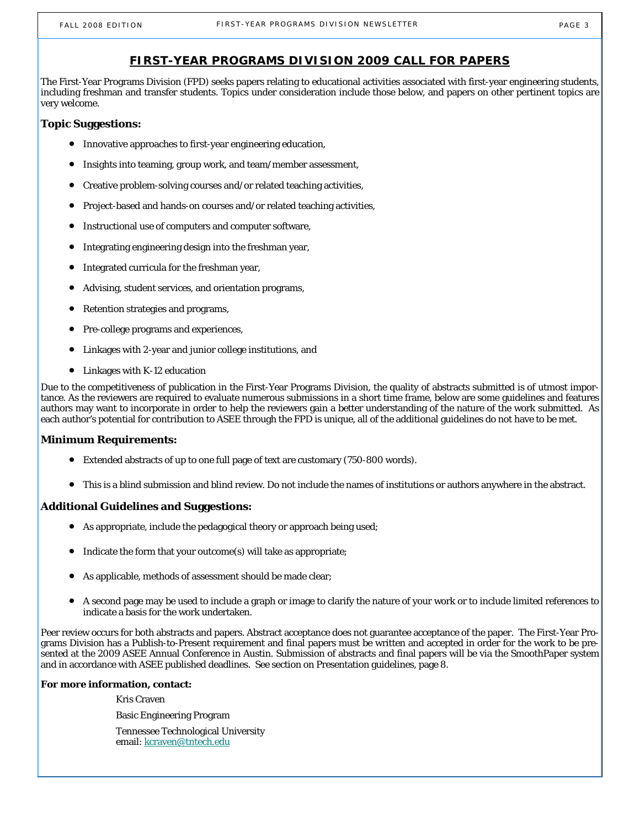### **FIRST-YEAR PROGRAMS DIVISION 2009 CALL FOR PAPERS**

The First-Year Programs Division (FPD) seeks papers relating to educational activities associated with first-year engineering students, including freshman and transfer students. Topics under consideration include those below, and papers on other pertinent topics are very welcome.

#### **Topic Suggestions:**

- Innovative approaches to first-year engineering education,
- Insights into teaming, group work, and team/member assessment,
- Creative problem-solving courses and/or related teaching activities,
- Project-based and hands-on courses and/or related teaching activities,
- Instructional use of computers and computer software,
- Integrating engineering design into the freshman year,
- Integrated curricula for the freshman year,
- Advising, student services, and orientation programs,
- Retention strategies and programs,
- Pre-college programs and experiences,
- Linkages with 2-year and junior college institutions, and
- Linkages with K-12 education

Due to the competitiveness of publication in the First-Year Programs Division, the quality of abstracts submitted is of utmost importance. As the reviewers are required to evaluate numerous submissions in a short time frame, below are some guidelines and features authors may want to incorporate in order to help the reviewers gain a better understanding of the nature of the work submitted. As each author's potential for contribution to ASEE through the FPD is unique, all of the additional guidelines do not have to be met.

#### **Minimum Requirements:**

- Extended abstracts of up to one full page of text are customary (750-800 words).
- This is a blind submission and blind review. Do not include the names of institutions or authors anywhere in the abstract.

#### **Additional Guidelines and Suggestions:**

- As appropriate, include the pedagogical theory or approach being used;
- Indicate the form that your outcome(s) will take as appropriate;
- As applicable, methods of assessment should be made clear;
- A second page may be used to include a graph or image to clarify the nature of your work or to include limited references to indicate a basis for the work undertaken.

Peer review occurs for both abstracts and papers. Abstract acceptance does not guarantee acceptance of the paper. The First-Year Programs Division has a Publish-to-Present requirement and final papers must be written and accepted in order for the work to be presented at the 2009 ASEE Annual Conference in Austin. Submission of abstracts and final papers will be via the SmoothPaper system and in accordance with ASEE published deadlines. See section on Presentation guidelines, page 8.

#### **For more information, contact:**

Kris Craven

Basic Engineering Program

Tennessee Technological University email: kcraven@tntech.edu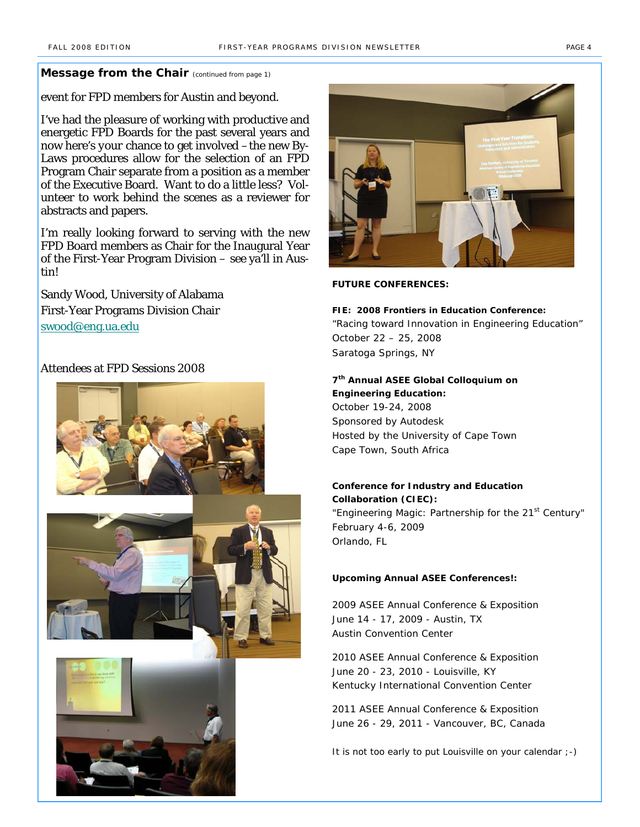#### **Message from the Chair** (continued from page 1)

#### event for FPD members for Austin and beyond.

I've had the pleasure of working with productive and energetic FPD Boards for the past several years and now here's *your* chance to get involved –the new By-Laws procedures allow for the selection of an FPD Program Chair separate from a position as a member of the Executive Board. Want to do a little less? Volunteer to work behind the scenes as a reviewer for abstracts and papers.

I'm really looking forward to serving with the new FPD Board members as Chair for the Inaugural Year of the First-Year Program Division – see ya'll in Austin!

Sandy Wood, University of Alabama First-Year Programs Division Chair swood@eng.ua.edu

#### Attendees at FPD Sessions 2008









#### **FUTURE CONFERENCES:**

**FIE: 2008 Frontiers in Education Conference:** *"Racing toward Innovation in Engineering Education"* October 22 – 25, 2008 Saratoga Springs, NY

### **7th Annual ASEE Global Colloquium on Engineering Education:**  October 19-24, 2008 Sponsored by Autodesk

Hosted by the University of Cape Town Cape Town, South Africa

### **Conference for Industry and Education Collaboration (CIEC):**

*"Engineering Magic: Partnership for the 21st Century"* February 4-6, 2009 Orlando, FL

#### **Upcoming Annual ASEE Conferences!:**

2009 ASEE Annual Conference & Exposition June 14 - 17, 2009 - Austin, TX Austin Convention Center

2010 ASEE Annual Conference & Exposition June 20 - 23, 2010 - Louisville, KY Kentucky International Convention Center

2011 ASEE Annual Conference & Exposition June 26 - 29, 2011 - Vancouver, BC, Canada

It is not too early to put Louisville on your calendar ;-)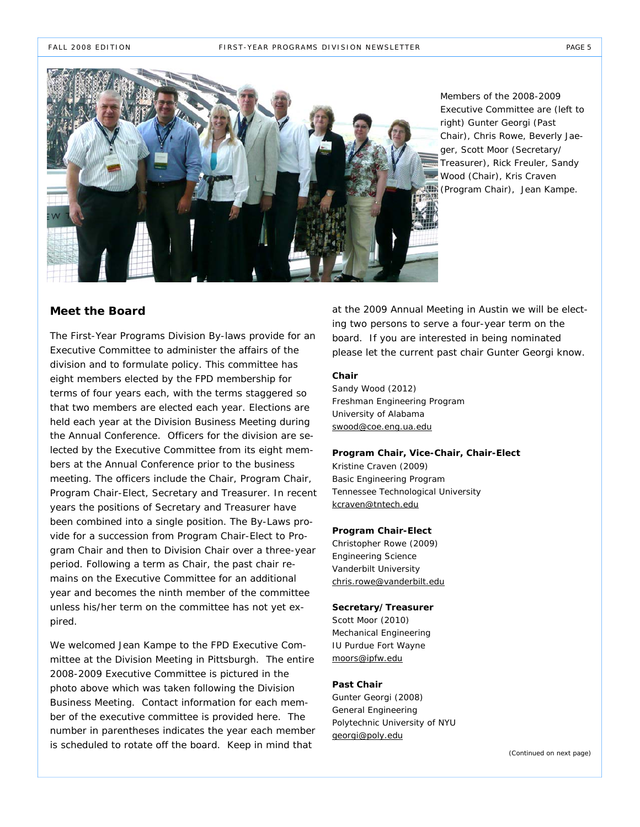

Members of the 2008-2009 Executive Committee are (left to right) Gunter Georgi (Past Chair), Chris Rowe, Beverly Jaeger, Scott Moor (Secretary/ Treasurer), Rick Freuler, Sandy Wood (Chair), Kris Craven (Program Chair), Jean Kampe.

#### **Meet the Board**

The First-Year Programs Division By-laws provide for an Executive Committee to administer the affairs of the division and to formulate policy. This committee has eight members elected by the FPD membership for terms of four years each, with the terms staggered so that two members are elected each year. Elections are held each year at the Division Business Meeting during the Annual Conference. Officers for the division are selected by the Executive Committee from its eight members at the Annual Conference prior to the business meeting. The officers include the Chair, Program Chair, Program Chair-Elect, Secretary and Treasurer. In recent years the positions of Secretary and Treasurer have been combined into a single position. The By-Laws provide for a succession from Program Chair-Elect to Program Chair and then to Division Chair over a three-year period. Following a term as Chair, the past chair remains on the Executive Committee for an additional year and becomes the ninth member of the committee unless his/her term on the committee has not yet expired.

We welcomed Jean Kampe to the FPD Executive Committee at the Division Meeting in Pittsburgh. The entire 2008-2009 Executive Committee is pictured in the photo above which was taken following the Division Business Meeting. Contact information for each member of the executive committee is provided here. The number in parentheses indicates the year each member is scheduled to rotate off the board. Keep in mind that

at the 2009 Annual Meeting in Austin we will be electing two persons to serve a four-year term on the board. If you are interested in being nominated please let the current past chair Gunter Georgi know.

#### **Chair**

Sandy Wood (2012) Freshman Engineering Program University of Alabama swood@coe.eng.ua.edu

#### **Program Chair, Vice-Chair, Chair-Elect**

Kristine Craven (2009) Basic Engineering Program Tennessee Technological University kcraven@tntech.edu

#### **Program Chair-Elect**

Christopher Rowe (2009) Engineering Science Vanderbilt University chris.rowe@vanderbilt.edu

#### **Secretary/Treasurer**

Scott Moor (2010) Mechanical Engineering IU Purdue Fort Wayne moors@ipfw.edu

#### **Past Chair**

Gunter Georgi (2008) General Engineering Polytechnic University of NYU georgi@poly.edu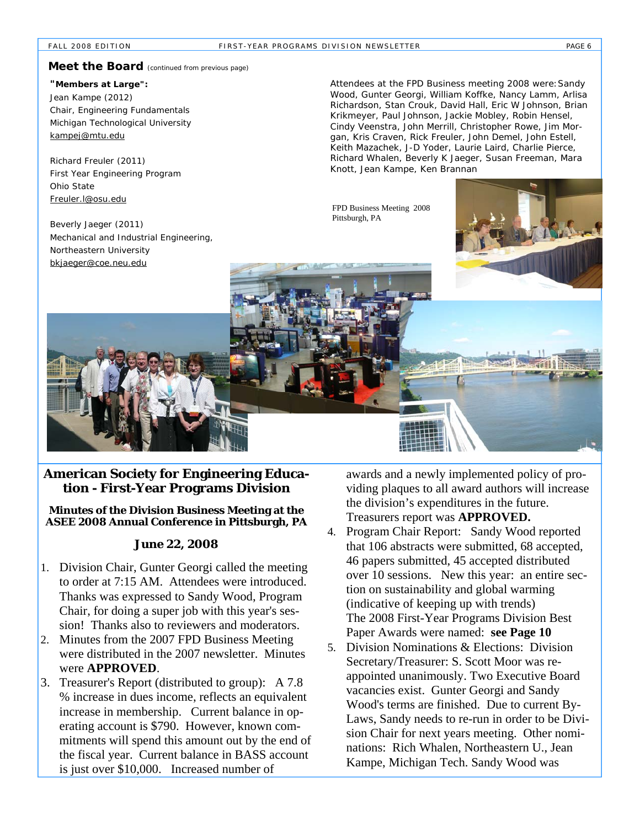#### FALL 2008 EDITION FIRST-YEAR PROGRAMS DIVISION NEWSLETTER PAGE 6

#### **Meet the Board** (continued from previous page)

**"Members at Large":**  Jean Kampe (2012) Chair, Engineering Fundamentals Michigan Technological University kampej@mtu.edu

Richard Freuler (2011) First Year Engineering Program Ohio State Freuler.l@osu.edu

Beverly Jaeger (2011) Mechanical and Industrial Engineering, Northeastern University bkjaeger@coe.neu.edu

Attendees at the FPD Business meeting 2008 were:Sandy Wood, Gunter Georgi, William Koffke, Nancy Lamm, Arlisa Richardson, Stan Crouk, David Hall, Eric W Johnson, Brian Krikmeyer, Paul Johnson, Jackie Mobley, Robin Hensel, Cindy Veenstra, John Merrill, Christopher Rowe, Jim Morgan, Kris Craven, Rick Freuler, John Demel, John Estell, Keith Mazachek, J-D Yoder, Laurie Laird, Charlie Pierce, Richard Whalen, Beverly K Jaeger, Susan Freeman, Mara Knott, Jean Kampe, Ken Brannan

FPD Business Meeting 2008 Pittsburgh, PA



### **American Society for Engineering Education - First-Year Programs Division**

**Minutes of the Division Business Meeting at the ASEE 2008 Annual Conference in Pittsburgh, PA** 

### **June 22, 2008**

- 1. Division Chair, Gunter Georgi called the meeting to order at 7:15 AM. Attendees were introduced. Thanks was expressed to Sandy Wood, Program Chair, for doing a super job with this year's session! Thanks also to reviewers and moderators.
- 2. Minutes from the 2007 FPD Business Meeting were distributed in the 2007 newsletter. Minutes were **APPROVED**.
- 3. Treasurer's Report (distributed to group): A 7.8 % increase in dues income, reflects an equivalent increase in membership. Current balance in operating account is \$790. However, known commitments will spend this amount out by the end of the fiscal year. Current balance in BASS account is just over \$10,000. Increased number of

awards and a newly implemented policy of providing plaques to all award authors will increase the division's expenditures in the future. Treasurers report was **APPROVED.**

- 4. Program Chair Report: Sandy Wood reported that 106 abstracts were submitted, 68 accepted, 46 papers submitted, 45 accepted distributed over 10 sessions. New this year: an entire section on sustainability and global warming (indicative of keeping up with trends) The 2008 First-Year Programs Division Best Paper Awards were named: **see Page 10**
- 5. Division Nominations & Elections: Division Secretary/Treasurer: S. Scott Moor was reappointed unanimously. Two Executive Board vacancies exist. Gunter Georgi and Sandy Wood's terms are finished. Due to current By-Laws, Sandy needs to re-run in order to be Division Chair for next years meeting. Other nominations: Rich Whalen, Northeastern U., Jean Kampe, Michigan Tech. Sandy Wood was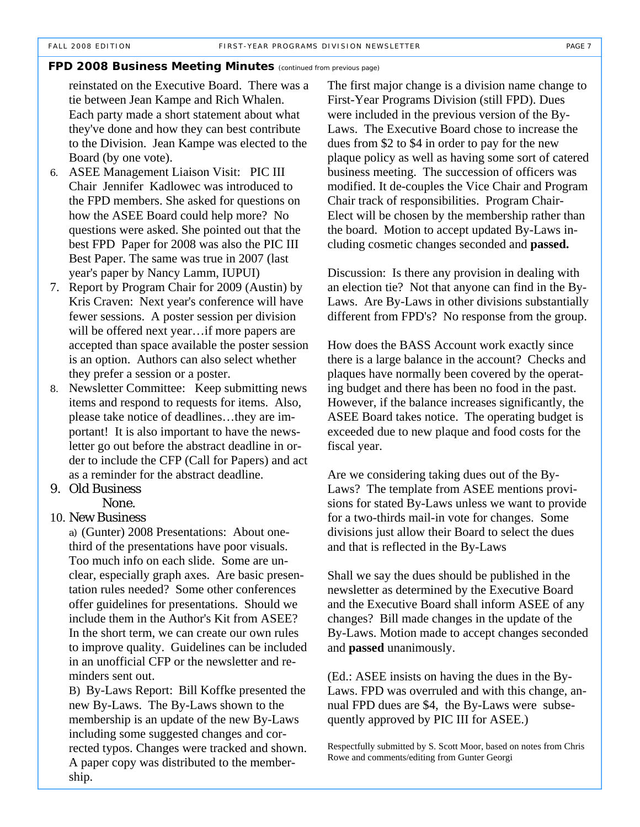#### **FPD 2008 Business Meeting Minutes** *(continued from previous page)*

reinstated on the Executive Board. There was a tie between Jean Kampe and Rich Whalen. Each party made a short statement about what they've done and how they can best contribute to the Division. Jean Kampe was elected to the Board (by one vote).

- 6. ASEE Management Liaison Visit: PIC III Chair Jennifer Kadlowec was introduced to the FPD members. She asked for questions on how the ASEE Board could help more? No questions were asked. She pointed out that the best FPD Paper for 2008 was also the PIC III Best Paper. The same was true in 2007 (last year's paper by Nancy Lamm, IUPUI)
- 7. Report by Program Chair for 2009 (Austin) by Kris Craven: Next year's conference will have fewer sessions. A poster session per division will be offered next year…if more papers are accepted than space available the poster session is an option. Authors can also select whether they prefer a session or a poster.
- 8. Newsletter Committee: Keep submitting news items and respond to requests for items. Also, please take notice of deadlines…they are important! It is also important to have the newsletter go out before the abstract deadline in order to include the CFP (Call for Papers) and act as a reminder for the abstract deadline.
- 9. Old Business None.

### 10. New Business

a) (Gunter) 2008 Presentations: About onethird of the presentations have poor visuals. Too much info on each slide. Some are unclear, especially graph axes. Are basic presentation rules needed? Some other conferences offer guidelines for presentations. Should we include them in the Author's Kit from ASEE? In the short term, we can create our own rules to improve quality. Guidelines can be included in an unofficial CFP or the newsletter and reminders sent out.

B) By-Laws Report: Bill Koffke presented the new By-Laws. The By-Laws shown to the membership is an update of the new By-Laws including some suggested changes and corrected typos. Changes were tracked and shown. A paper copy was distributed to the membership.

The first major change is a division name change to First-Year Programs Division (still FPD). Dues were included in the previous version of the By-Laws. The Executive Board chose to increase the dues from \$2 to \$4 in order to pay for the new plaque policy as well as having some sort of catered business meeting. The succession of officers was modified. It de-couples the Vice Chair and Program Chair track of responsibilities. Program Chair-Elect will be chosen by the membership rather than the board. Motion to accept updated By-Laws including cosmetic changes seconded and **passed.** 

Discussion: Is there any provision in dealing with an election tie? Not that anyone can find in the By-Laws. Are By-Laws in other divisions substantially different from FPD's? No response from the group.

How does the BASS Account work exactly since there is a large balance in the account? Checks and plaques have normally been covered by the operating budget and there has been no food in the past. However, if the balance increases significantly, the ASEE Board takes notice. The operating budget is exceeded due to new plaque and food costs for the fiscal year.

Are we considering taking dues out of the By-Laws? The template from ASEE mentions provisions for stated By-Laws unless we want to provide for a two-thirds mail-in vote for changes. Some divisions just allow their Board to select the dues and that is reflected in the By-Laws

Shall we say the dues should be published in the newsletter as determined by the Executive Board and the Executive Board shall inform ASEE of any changes? Bill made changes in the update of the By-Laws. Motion made to accept changes seconded and **passed** unanimously.

(Ed.: ASEE insists on having the dues in the By-Laws. FPD was overruled and with this change, annual FPD dues are \$4, the By-Laws were subsequently approved by PIC III for ASEE.)

Respectfully submitted by S. Scott Moor, based on notes from Chris Rowe and comments/editing from Gunter Georgi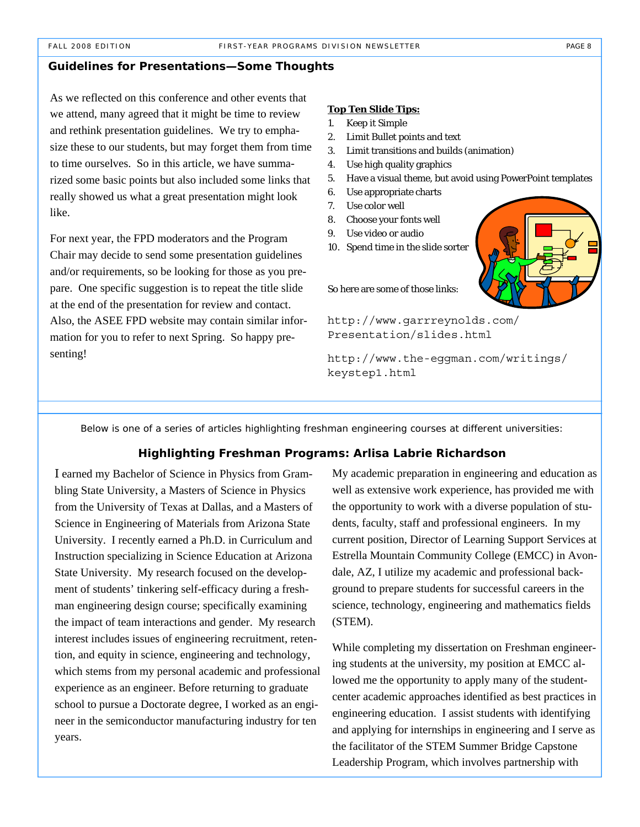#### **Guidelines for Presentations—Some Thoughts**

As we reflected on this conference and other events that we attend, many agreed that it might be time to review and rethink presentation guidelines. We try to emphasize these to our students, but may forget them from time to time ourselves. So in this article, we have summarized some basic points but also included some links that really showed us what a great presentation might look like.

For next year, the FPD moderators and the Program Chair may decide to send some presentation guidelines and/or requirements, so be looking for those as you prepare. One specific suggestion is to repeat the title slide at the end of the presentation for review and contact. Also, the ASEE FPD website may contain similar information for you to refer to next Spring. So happy presenting!

#### **Top Ten Slide Tips:**

- 1. Keep it Simple
- 2. Limit Bullet points and text
- 3. Limit transitions and builds (animation)
- 4. Use high quality graphics
- 5. Have a visual theme, but avoid using PowerPoint templates
- 6. Use appropriate charts
- 7. Use color well
- 8. Choose your fonts well
- 9. Use video or audio
- 10. Spend time in the slide sorter

So here are some of those links:

http://www.garrreynolds.com/ Presentation/slides.html

http://www.the-eggman.com/writings/ keystep1.html

*Below is one of a series of articles highlighting freshman engineering courses at different universities:* 

#### **Highlighting Freshman Programs: Arlisa Labrie Richardson**

I earned my Bachelor of Science in Physics from Grambling State University, a Masters of Science in Physics from the University of Texas at Dallas, and a Masters of Science in Engineering of Materials from Arizona State University. I recently earned a Ph.D. in Curriculum and Instruction specializing in Science Education at Arizona State University. My research focused on the development of students' tinkering self-efficacy during a freshman engineering design course; specifically examining the impact of team interactions and gender. My research interest includes issues of engineering recruitment, retention, and equity in science, engineering and technology, which stems from my personal academic and professional experience as an engineer. Before returning to graduate school to pursue a Doctorate degree, I worked as an engineer in the semiconductor manufacturing industry for ten years.

My academic preparation in engineering and education as well as extensive work experience, has provided me with the opportunity to work with a diverse population of students, faculty, staff and professional engineers. In my current position, Director of Learning Support Services at Estrella Mountain Community College (EMCC) in Avondale, AZ, I utilize my academic and professional background to prepare students for successful careers in the science, technology, engineering and mathematics fields (STEM).

While completing my dissertation on Freshman engineering students at the university, my position at EMCC allowed me the opportunity to apply many of the studentcenter academic approaches identified as best practices in engineering education. I assist students with identifying and applying for internships in engineering and I serve as the facilitator of the STEM Summer Bridge Capstone Leadership Program, which involves partnership with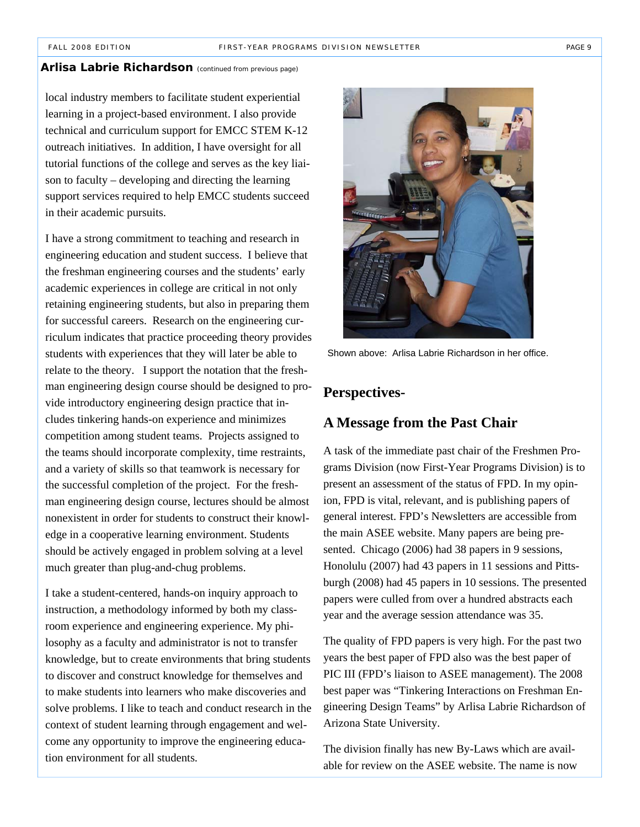#### **Arlisa Labrie Richardson** (continued from previous page)

local industry members to facilitate student experiential learning in a project-based environment. I also provide technical and curriculum support for EMCC STEM K-12 outreach initiatives. In addition, I have oversight for all tutorial functions of the college and serves as the key liaison to faculty – developing and directing the learning support services required to help EMCC students succeed in their academic pursuits.

I have a strong commitment to teaching and research in engineering education and student success. I believe that the freshman engineering courses and the students' early academic experiences in college are critical in not only retaining engineering students, but also in preparing them for successful careers. Research on the engineering curriculum indicates that practice proceeding theory provides students with experiences that they will later be able to relate to the theory. I support the notation that the freshman engineering design course should be designed to provide introductory engineering design practice that includes tinkering hands-on experience and minimizes competition among student teams. Projects assigned to the teams should incorporate complexity, time restraints, and a variety of skills so that teamwork is necessary for the successful completion of the project. For the freshman engineering design course, lectures should be almost nonexistent in order for students to construct their knowledge in a cooperative learning environment. Students should be actively engaged in problem solving at a level much greater than plug-and-chug problems.

I take a student-centered, hands-on inquiry approach to instruction, a methodology informed by both my classroom experience and engineering experience. My philosophy as a faculty and administrator is not to transfer knowledge, but to create environments that bring students to discover and construct knowledge for themselves and to make students into learners who make discoveries and solve problems. I like to teach and conduct research in the context of student learning through engagement and welcome any opportunity to improve the engineering education environment for all students.



Shown above: Arlisa Labrie Richardson in her office.

### **Perspectives-**

### **A Message from the Past Chair**

A task of the immediate past chair of the Freshmen Programs Division (now First-Year Programs Division) is to present an assessment of the status of FPD. In my opinion, FPD is vital, relevant, and is publishing papers of general interest. FPD's Newsletters are accessible from the main ASEE website. Many papers are being presented. Chicago (2006) had 38 papers in 9 sessions, Honolulu (2007) had 43 papers in 11 sessions and Pittsburgh (2008) had 45 papers in 10 sessions. The presented papers were culled from over a hundred abstracts each year and the average session attendance was 35.

The quality of FPD papers is very high. For the past two years the best paper of FPD also was the best paper of PIC III (FPD's liaison to ASEE management). The 2008 best paper was "Tinkering Interactions on Freshman Engineering Design Teams" by Arlisa Labrie Richardson of Arizona State University.

The division finally has new By-Laws which are available for review on the ASEE website. The name is now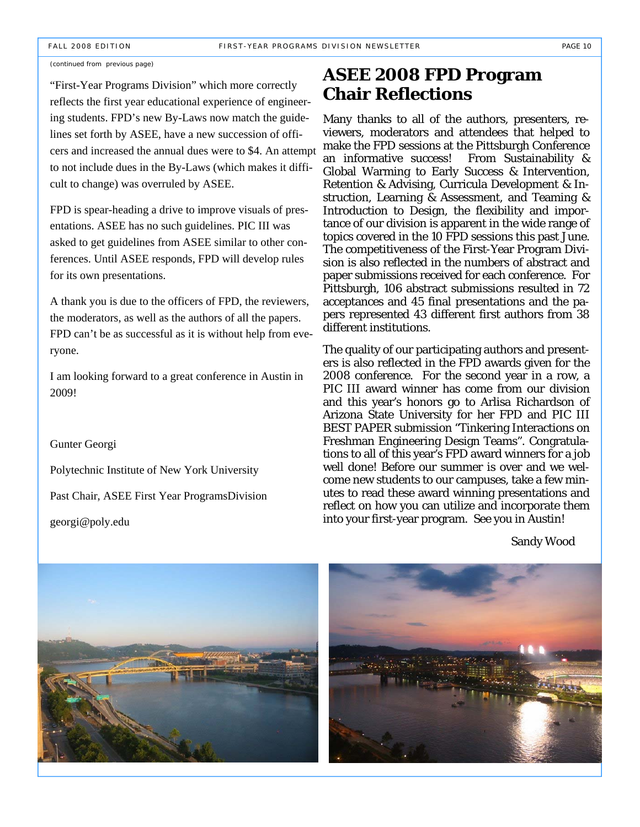(continued from previous page)

"First-Year Programs Division" which more correctly reflects the first year educational experience of engineering students. FPD's new By-Laws now match the guidelines set forth by ASEE, have a new succession of officers and increased the annual dues were to \$4. An attempt to not include dues in the By-Laws (which makes it difficult to change) was overruled by ASEE.

FPD is spear-heading a drive to improve visuals of presentations. ASEE has no such guidelines. PIC III was asked to get guidelines from ASEE similar to other conferences. Until ASEE responds, FPD will develop rules for its own presentations.

A thank you is due to the officers of FPD, the reviewers, the moderators, as well as the authors of all the papers. FPD can't be as successful as it is without help from everyone.

I am looking forward to a great conference in Austin in 2009!

Gunter Georgi

Polytechnic Institute of New York University

Past Chair, ASEE First Year ProgramsDivision

georgi@poly.edu

### **ASEE 2008 FPD Program Chair Reflections**

Many thanks to all of the authors, presenters, reviewers, moderators and attendees that helped to make the FPD sessions at the Pittsburgh Conference an informative success! From Sustainability & Global Warming to Early Success & Intervention, Retention & Advising, Curricula Development & Instruction, Learning & Assessment, and Teaming & Introduction to Design, the flexibility and importance of our division is apparent in the wide range of topics covered in the 10 FPD sessions this past June. The competitiveness of the First-Year Program Division is also reflected in the numbers of abstract and paper submissions received for each conference. For Pittsburgh, 106 abstract submissions resulted in 72 acceptances and 45 final presentations and the papers represented 43 different first authors from 38 different institutions.

The quality of our participating authors and presenters is also reflected in the FPD awards given for the 2008 conference. For the second year in a row, a PIC III award winner has come from our division and this year's honors go to Arlisa Richardson of Arizona State University for her FPD and PIC III BEST PAPER submission "Tinkering Interactions on Freshman Engineering Design Teams". Congratulations to all of this year's FPD award winners for a job well done! Before our summer is over and we welcome new students to our campuses, take a few minutes to read these award winning presentations and reflect on how you can utilize and incorporate them into your first-year program. See you in Austin!

Sandy Wood



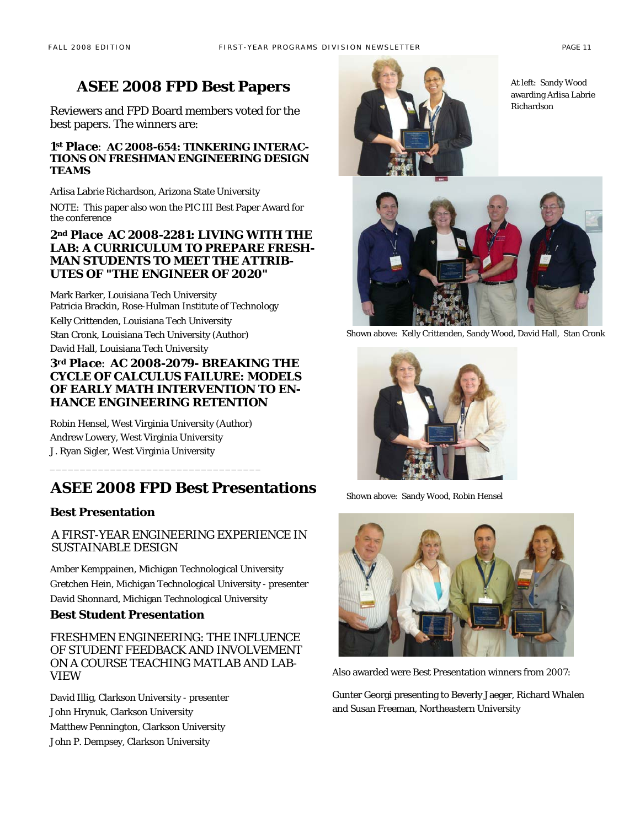### **ASEE 2008 FPD Best Papers**

Reviewers and FPD Board members voted for the best papers. The winners are:

#### *1st Place*: **AC 2008-654: TINKERING INTERAC-TIONS ON FRESHMAN ENGINEERING DESIGN TEAMS**

Arlisa Labrie Richardson, Arizona State University

NOTE: This paper also won the PIC III Best Paper Award for the conference

#### *2nd Place* **AC 2008-2281: LIVING WITH THE LAB: A CURRICULUM TO PREPARE FRESH-MAN STUDENTS TO MEET THE ATTRIB-UTES OF "THE ENGINEER OF 2020"**

Mark Barker, Louisiana Tech University Patricia Brackin, Rose-Hulman Institute of Technology

Kelly Crittenden, Louisiana Tech University

Stan Cronk, Louisiana Tech University (Author)

David Hall, Louisiana Tech University

#### *3rd Place*: **AC 2008-2079- BREAKING THE CYCLE OF CALCULUS FAILURE: MODELS OF EARLY MATH INTERVENTION TO EN-HANCE ENGINEERING RETENTION**

Robin Hensel, West Virginia University (Author) Andrew Lowery, West Virginia University J. Ryan Sigler, West Virginia University

\_\_\_\_\_\_\_\_\_\_\_\_\_\_\_\_\_\_\_\_\_\_\_\_\_\_\_\_\_\_\_\_\_\_\_

### **ASEE 2008 FPD Best Presentations**

#### **Best Presentation**

A FIRST-YEAR ENGINEERING EXPERIENCE IN SUSTAINABLE DESIGN

Amber Kemppainen, Michigan Technological University Gretchen Hein, Michigan Technological University - presenter David Shonnard, Michigan Technological University

#### **Best Student Presentation**

FRESHMEN ENGINEERING: THE INFLUENCE OF STUDENT FEEDBACK AND INVOLVEMENT ON A COURSE TEACHING MATLAB AND LAB-VIEW

David Illig, Clarkson University - presenter John Hrynuk, Clarkson University Matthew Pennington, Clarkson University John P. Dempsey, Clarkson University



At left: Sandy Wood awarding Arlisa Labrie Richardson



Shown above: Kelly Crittenden, Sandy Wood, David Hall, Stan Cronk



Shown above: Sandy Wood, Robin Hensel



Also awarded were Best Presentation winners from 2007:

Gunter Georgi presenting to Beverly Jaeger, Richard Whalen and Susan Freeman, Northeastern University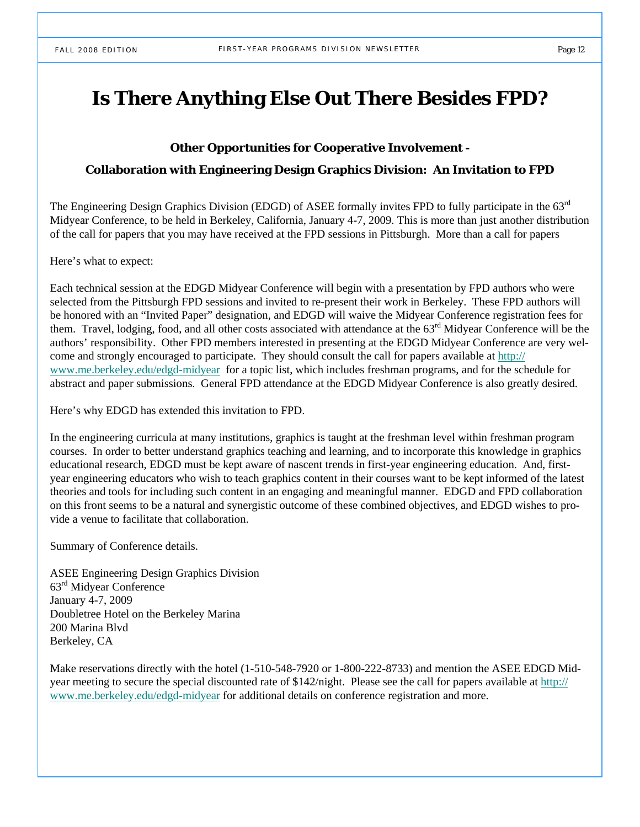## **Is There Anything Else Out There Besides FPD?**

### **Other Opportunities for Cooperative Involvement - Collaboration with Engineering Design Graphics Division: An Invitation to FPD**

The Engineering Design Graphics Division (EDGD) of ASEE formally invites FPD to fully participate in the 63<sup>rd</sup> Midyear Conference, to be held in Berkeley, California, January 4-7, 2009. This is more than just another distribution of the call for papers that you may have received at the FPD sessions in Pittsburgh. More than a call for papers

Here's what to expect:

Each technical session at the EDGD Midyear Conference will begin with a presentation by FPD authors who were selected from the Pittsburgh FPD sessions and invited to re-present their work in Berkeley. These FPD authors will be honored with an "Invited Paper" designation, and EDGD will waive the Midyear Conference registration fees for them. Travel, lodging, food, and all other costs associated with attendance at the  $63<sup>rd</sup>$  Midyear Conference will be the authors' responsibility. Other FPD members interested in presenting at the EDGD Midyear Conference are very welcome and strongly encouraged to participate. They should consult the call for papers available at http:// www.me.berkeley.edu/edgd-midyear for a topic list, which includes freshman programs, and for the schedule for abstract and paper submissions. General FPD attendance at the EDGD Midyear Conference is also greatly desired.

Here's why EDGD has extended this invitation to FPD.

In the engineering curricula at many institutions, graphics is taught at the freshman level within freshman program courses. In order to better understand graphics teaching and learning, and to incorporate this knowledge in graphics educational research, EDGD must be kept aware of nascent trends in first-year engineering education. And, firstyear engineering educators who wish to teach graphics content in their courses want to be kept informed of the latest theories and tools for including such content in an engaging and meaningful manner. EDGD and FPD collaboration on this front seems to be a natural and synergistic outcome of these combined objectives, and EDGD wishes to provide a venue to facilitate that collaboration.

Summary of Conference details.

ASEE Engineering Design Graphics Division 63rd Midyear Conference January 4-7, 2009 Doubletree Hotel on the Berkeley Marina 200 Marina Blvd Berkeley, CA

Make reservations directly with the hotel (1-510-548-7920 or 1-800-222-8733) and mention the ASEE EDGD Midyear meeting to secure the special discounted rate of \$142/night. Please see the call for papers available at http:// www.me.berkeley.edu/edgd-midyear for additional details on conference registration and more.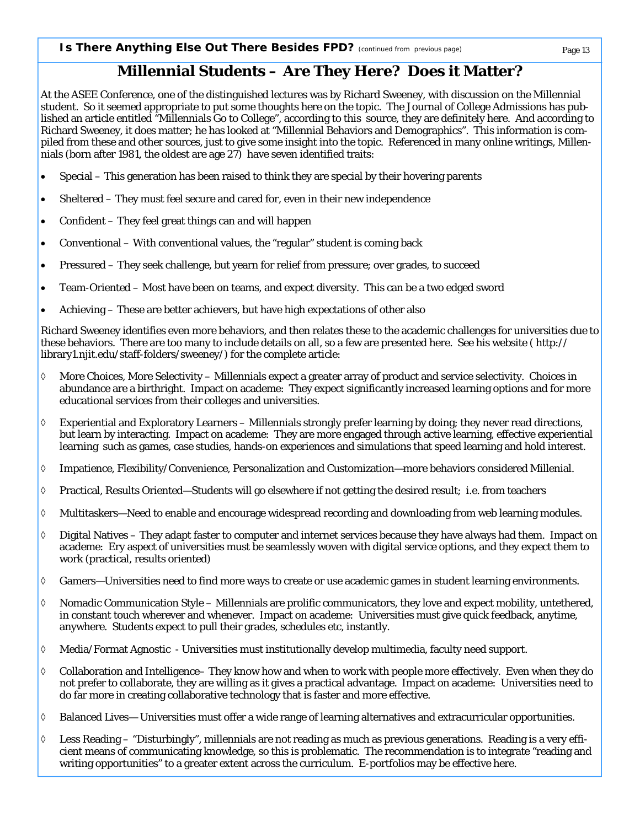### **Millennial Students – Are They Here? Does it Matter?**

At the ASEE Conference, one of the distinguished lectures was by Richard Sweeney, with discussion on the Millennial student. So it seemed appropriate to put some thoughts here on the topic. The Journal of College Admissions has published an article entitled "Millennials Go to College", according to this source, they are definitely here. And according to Richard Sweeney, it does matter; he has looked at "Millennial Behaviors and Demographics". This information is compiled from these and other sources, just to give some insight into the topic. Referenced in many online writings, Millennials (born after 1981, the oldest are age 27) have seven identified traits:

- Special This generation has been raised to think they are special by their hovering parents
- Sheltered They must feel secure and cared for, even in their new independence
- Confident They feel great things can and will happen
- Conventional With conventional values, the "regular" student is coming back
- Pressured They seek challenge, but yearn for relief from pressure; over grades, to succeed
- Team-Oriented Most have been on teams, and expect diversity. This can be a two edged sword
- Achieving These are better achievers, but have high expectations of other also

Richard Sweeney identifies even more behaviors, and then relates these to the academic challenges for universities due to these behaviors. There are too many to include details on all, so a few are presented here. See his website ( http:// library1.njit.edu/staff-folders/sweeney/) for the complete article:

- ◊ More Choices, More Selectivity Millennials expect a greater array of product and service selectivity. Choices in abundance are a birthright. Impact on academe: They expect significantly increased learning options and for more educational services from their colleges and universities.
- ◊ Experiential and Exploratory Learners Millennials strongly prefer learning by doing; they never read directions, but learn by interacting. Impact on academe: They are more engaged through active learning, effective experiential learning such as games, case studies, hands-on experiences and simulations that speed learning and hold interest.
- ◊ Impatience, Flexibility/Convenience, Personalization and Customization—more behaviors considered Millenial.
- ◊ Practical, Results Oriented—Students will go elsewhere if not getting the desired result; i.e. from teachers
- ◊ Multitaskers—Need to enable and encourage widespread recording and downloading from web learning modules.
- ◊ Digital Natives They adapt faster to computer and internet services because they have always had them. Impact on academe: Ery aspect of universities must be seamlessly woven with digital service options, and they expect them to work (practical, results oriented)
- ◊ Gamers—Universities need to find more ways to create or use academic games in student learning environments.
- ◊ Nomadic Communication Style Millennials are prolific communicators, they love and expect mobility, untethered, in constant touch wherever and whenever. Impact on academe: Universities must give quick feedback, anytime, anywhere. Students expect to pull their grades, schedules etc, instantly.
- ◊ Media/Format Agnostic Universities must institutionally develop multimedia, faculty need support.
- ◊ Collaboration and Intelligence– They know how and when to work with people more effectively. Even when they do not prefer to collaborate, they are willing as it gives a practical advantage. Impact on academe: Universities need to do far more in creating collaborative technology that is faster and more effective.
- ◊ Balanced Lives— Universities must offer a wide range of learning alternatives and extracurricular opportunities.
- ◊ Less Reading "Disturbingly", millennials are not reading as much as previous generations. Reading is a very efficient means of communicating knowledge, so this is problematic. The recommendation is to integrate "reading and writing opportunities" to a greater extent across the curriculum. E-portfolios may be effective here.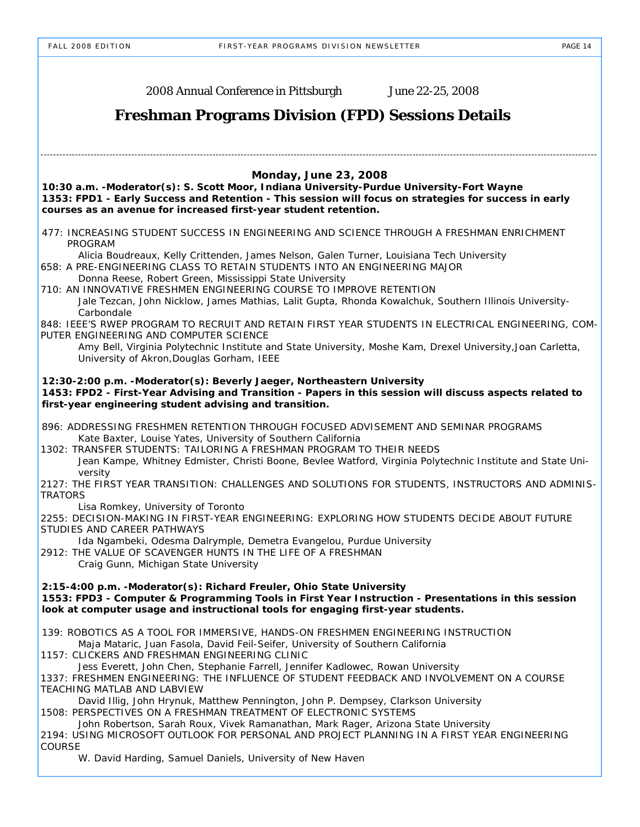---------------------------------------------------------------------------------------------------------------------------------------------------------------------------------- **Monday, June 23, 2008 10:30 a.m. -Moderator(s): S. Scott Moor, Indiana University-Purdue University-Fort Wayne 1353: FPD1 - Early Success and Retention - This session will focus on strategies for success in early courses as an avenue for increased first-year student retention.**  477: INCREASING STUDENT SUCCESS IN ENGINEERING AND SCIENCE THROUGH A FRESHMAN ENRICHMENT PROGRAM Alicia Boudreaux, Kelly Crittenden, James Nelson, Galen Turner, Louisiana Tech University 658: A PRE-ENGINEERING CLASS TO RETAIN STUDENTS INTO AN ENGINEERING MAJOR Donna Reese, Robert Green, Mississippi State University 710: AN INNOVATIVE FRESHMEN ENGINEERING COURSE TO IMPROVE RETENTION Jale Tezcan, John Nicklow, James Mathias, Lalit Gupta, Rhonda Kowalchuk, Southern Illinois University-Carbondale 848: IEEE'S RWEP PROGRAM TO RECRUIT AND RETAIN FIRST YEAR STUDENTS IN ELECTRICAL ENGINEERING, COM-PUTER ENGINEERING AND COMPUTER SCIENCE Amy Bell, Virginia Polytechnic Institute and State University, Moshe Kam, Drexel University,Joan Carletta, University of Akron,Douglas Gorham, IEEE **12:30-2:00 p.m. -Moderator(s): Beverly Jaeger, Northeastern University 1453: FPD2 - First-Year Advising and Transition - Papers in this session will discuss aspects related to first-year engineering student advising and transition.**  896: ADDRESSING FRESHMEN RETENTION THROUGH FOCUSED ADVISEMENT AND SEMINAR PROGRAMS Kate Baxter, Louise Yates, University of Southern California 1302: TRANSFER STUDENTS: TAILORING A FRESHMAN PROGRAM TO THEIR NEEDS Jean Kampe, Whitney Edmister, Christi Boone, Bevlee Watford, Virginia Polytechnic Institute and State University 2127: THE FIRST YEAR TRANSITION: CHALLENGES AND SOLUTIONS FOR STUDENTS, INSTRUCTORS AND ADMINIS-**TRATORS** Lisa Romkey, University of Toronto 2255: DECISION-MAKING IN FIRST-YEAR ENGINEERING: EXPLORING HOW STUDENTS DECIDE ABOUT FUTURE STUDIES AND CAREER PATHWAYS Ida Ngambeki, Odesma Dalrymple, Demetra Evangelou, Purdue University 2912: THE VALUE OF SCAVENGER HUNTS IN THE LIFE OF A FRESHMAN Craig Gunn, Michigan State University **2:15-4:00 p.m. -Moderator(s): Richard Freuler, Ohio State University 1553: FPD3 - Computer & Programming Tools in First Year Instruction - Presentations in this session look at computer usage and instructional tools for engaging first-year students.**  139: ROBOTICS AS A TOOL FOR IMMERSIVE, HANDS-ON FRESHMEN ENGINEERING INSTRUCTION Maja Mataric, Juan Fasola, David Feil-Seifer, University of Southern California 1157: CLICKERS AND FRESHMAN ENGINEERING CLINIC Jess Everett, John Chen, Stephanie Farrell, Jennifer Kadlowec, Rowan University 1337: FRESHMEN ENGINEERING: THE INFLUENCE OF STUDENT FEEDBACK AND INVOLVEMENT ON A COURSE TEACHING MATLAB AND LABVIEW David Illig, John Hrynuk, Matthew Pennington, John P. Dempsey, Clarkson University 1508: PERSPECTIVES ON A FRESHMAN TREATMENT OF ELECTRONIC SYSTEMS John Robertson, Sarah Roux, Vivek Ramanathan, Mark Rager, Arizona State University 2194: USING MICROSOFT OUTLOOK FOR PERSONAL AND PROJECT PLANNING IN A FIRST YEAR ENGINEERING COURSE W. David Harding, Samuel Daniels, University of New Haven 2008 Annual Conference in Pittsburgh June 22-25, 2008 **Freshman Programs Division (FPD) Sessions Details**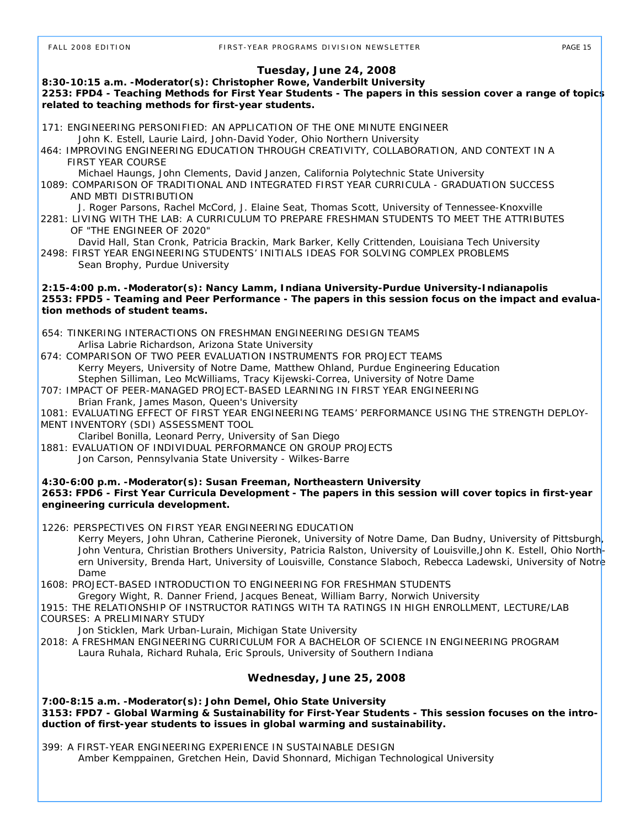### **Tuesday, June 24, 2008 8:30-10:15 a.m. -Moderator(s): Christopher Rowe, Vanderbilt University 2253: FPD4 - Teaching Methods for First Year Students - The papers in this session cover a range of topics related to teaching methods for first-year students.**  171: ENGINEERING PERSONIFIED: AN APPLICATION OF THE ONE MINUTE ENGINEER John K. Estell, Laurie Laird, John-David Yoder, Ohio Northern University 464: IMPROVING ENGINEERING EDUCATION THROUGH CREATIVITY, COLLABORATION, AND CONTEXT IN A FIRST YEAR COURSE Michael Haungs, John Clements, David Janzen, California Polytechnic State University 1089: COMPARISON OF TRADITIONAL AND INTEGRATED FIRST YEAR CURRICULA - GRADUATION SUCCESS AND MBTI DISTRIBUTION J. Roger Parsons, Rachel McCord, J. Elaine Seat, Thomas Scott, University of Tennessee-Knoxville 2281: LIVING WITH THE LAB: A CURRICULUM TO PREPARE FRESHMAN STUDENTS TO MEET THE ATTRIBUTES OF "THE ENGINEER OF 2020" David Hall, Stan Cronk, Patricia Brackin, Mark Barker, Kelly Crittenden, Louisiana Tech University 2498: FIRST YEAR ENGINEERING STUDENTS' INITIALS IDEAS FOR SOLVING COMPLEX PROBLEMS Sean Brophy, Purdue University **2:15-4:00 p.m. -Moderator(s): Nancy Lamm, Indiana University-Purdue University-Indianapolis 2553: FPD5 - Teaming and Peer Performance - The papers in this session focus on the impact and evaluation methods of student teams.**  654: TINKERING INTERACTIONS ON FRESHMAN ENGINEERING DESIGN TEAMS Arlisa Labrie Richardson, Arizona State University 674: COMPARISON OF TWO PEER EVALUATION INSTRUMENTS FOR PROJECT TEAMS Kerry Meyers, University of Notre Dame, Matthew Ohland, Purdue Engineering Education Stephen Silliman, Leo McWilliams, Tracy Kijewski-Correa, University of Notre Dame 707: IMPACT OF PEER-MANAGED PROJECT-BASED LEARNING IN FIRST YEAR ENGINEERING Brian Frank, James Mason, Queen's University 1081: EVALUATING EFFECT OF FIRST YEAR ENGINEERING TEAMS' PERFORMANCE USING THE STRENGTH DEPLOY-MENT INVENTORY (SDI) ASSESSMENT TOOL Claribel Bonilla, Leonard Perry, University of San Diego 1881: EVALUATION OF INDIVIDUAL PERFORMANCE ON GROUP PROJECTS Jon Carson, Pennsylvania State University - Wilkes-Barre **4:30-6:00 p.m. -Moderator(s): Susan Freeman, Northeastern University 2653: FPD6 - First Year Curricula Development - The papers in this session will cover topics in first-year engineering curricula development.**  1226: PERSPECTIVES ON FIRST YEAR ENGINEERING EDUCATION Kerry Meyers, John Uhran, Catherine Pieronek, University of Notre Dame, Dan Budny, University of Pittsburgh, John Ventura, Christian Brothers University, Patricia Ralston, University of Louisville,John K. Estell, Ohio Northern University, Brenda Hart, University of Louisville, Constance Slaboch, Rebecca Ladewski, University of Notre Dame 1608: PROJECT-BASED INTRODUCTION TO ENGINEERING FOR FRESHMAN STUDENTS Gregory Wight, R. Danner Friend, Jacques Beneat, William Barry, Norwich University 1915: THE RELATIONSHIP OF INSTRUCTOR RATINGS WITH TA RATINGS IN HIGH ENROLLMENT, LECTURE/LAB COURSES: A PRELIMINARY STUDY Jon Sticklen, Mark Urban-Lurain, Michigan State University 2018: A FRESHMAN ENGINEERING CURRICULUM FOR A BACHELOR OF SCIENCE IN ENGINEERING PROGRAM Laura Ruhala, Richard Ruhala, Eric Sprouls, University of Southern Indiana **Wednesday, June 25, 2008 7:00-8:15 a.m. -Moderator(s): John Demel, Ohio State University 3153: FPD7 - Global Warming & Sustainability for First-Year Students - This session focuses on the introduction of first-year students to issues in global warming and sustainability.**  399: A FIRST-YEAR ENGINEERING EXPERIENCE IN SUSTAINABLE DESIGN Amber Kemppainen, Gretchen Hein, David Shonnard, Michigan Technological University